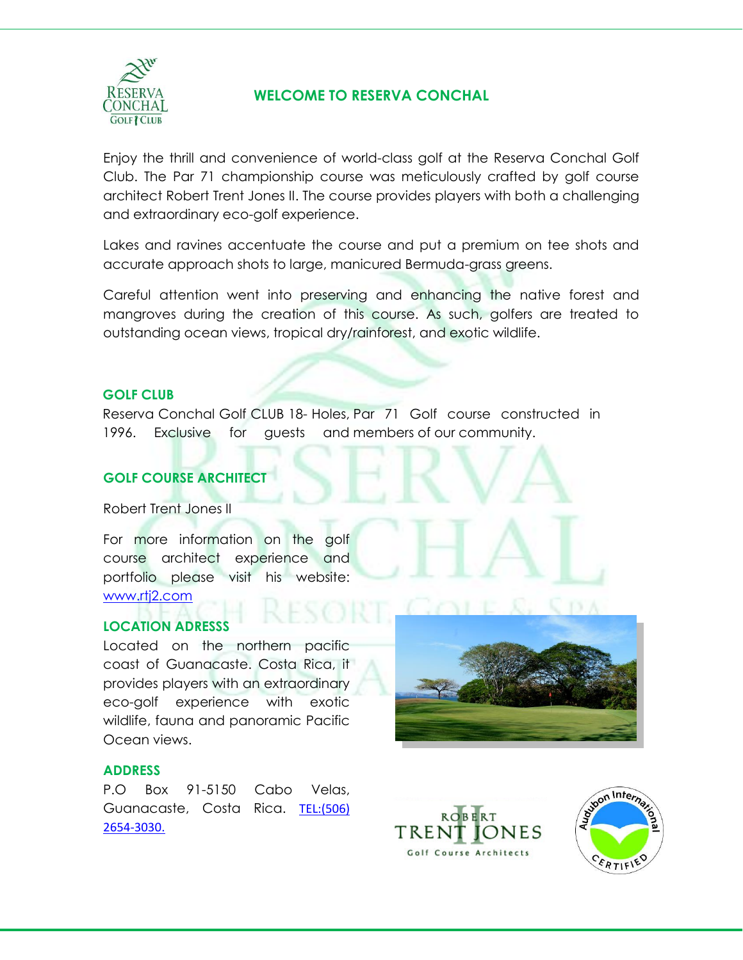

## **WELCOME TO RESERVA CONCHAL**

Enjoy the thrill and convenience of world-class golf at the Reserva Conchal Golf Club. The Par 71 championship course was meticulously crafted by golf course architect Robert Trent Jones II. The course provides players with both a challenging and extraordinary eco-golf experience.

Lakes and ravines accentuate the course and put a premium on tee shots and accurate approach shots to large, manicured Bermuda-grass greens.

Careful attention went into preserving and enhancing the native forest and mangroves during the creation of this course. As such, golfers are treated to outstanding ocean views, tropical dry/rainforest, and exotic wildlife.

#### **GOLF CLUB**

Reserva Conchal Golf CLUB 18- Holes, Par 71 Golf course constructed in 1996. Exclusive for guests and members of our community.

## **GOLF COURSE ARCHITECT**

Robert Trent Jones II

For more information on the golf course architect experience and portfolio please visit his website: www.rtj2.com

#### **[LOCATION ADR](http://www.rtj2.com/)ESSS**

Located on the northern pacific coast of Guanacaste. Costa Rica, it provides players with an extraordinary eco-golf experience with exotic wildlife, fauna and panoramic Pacific Ocean views.

#### **ADDRESS**

P.O Box 91-5150 Cabo Velas, Guanacaste, Costa Rica. TEL:(506) 2654-3030.





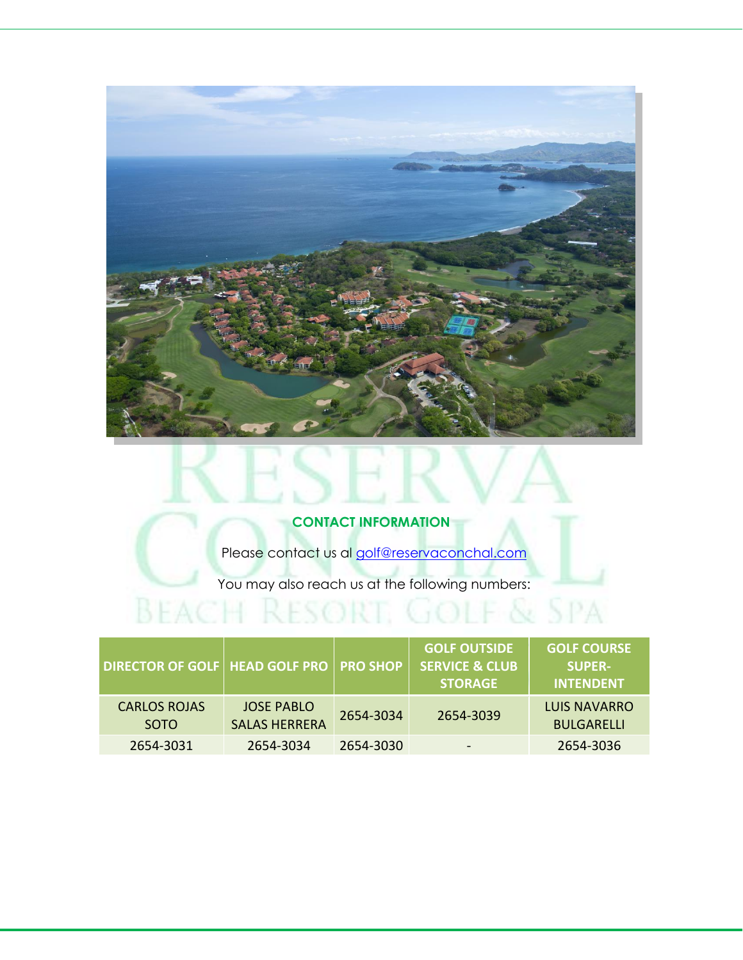

## **CONTACT INFORMATION**

Please contact us al [golf@reservaconchal.com](mailto:golf@reservaconchal.com)

You may also reach us at the following numbers:

**BEACH RESORT, GOLF & SPA** 

| <b>DIRECTOR OF GOLF   HEAD GOLF PRO   PRO SHOP</b> |                                           |           | <b>GOLF OUTSIDE</b><br><b>SERVICE &amp; CLUB</b><br><b>STORAGE</b> | <b>GOLF COURSE</b><br><b>SUPER-</b><br><b>INTENDENT</b> |
|----------------------------------------------------|-------------------------------------------|-----------|--------------------------------------------------------------------|---------------------------------------------------------|
| <b>CARLOS ROJAS</b><br><b>SOTO</b>                 | <b>JOSE PABLO</b><br><b>SALAS HERRERA</b> | 2654-3034 | 2654-3039                                                          | LUIS NAVARRO<br><b>BULGARELLI</b>                       |
| 2654-3031                                          | 2654-3034                                 | 2654-3030 | $\overline{\phantom{a}}$                                           | 2654-3036                                               |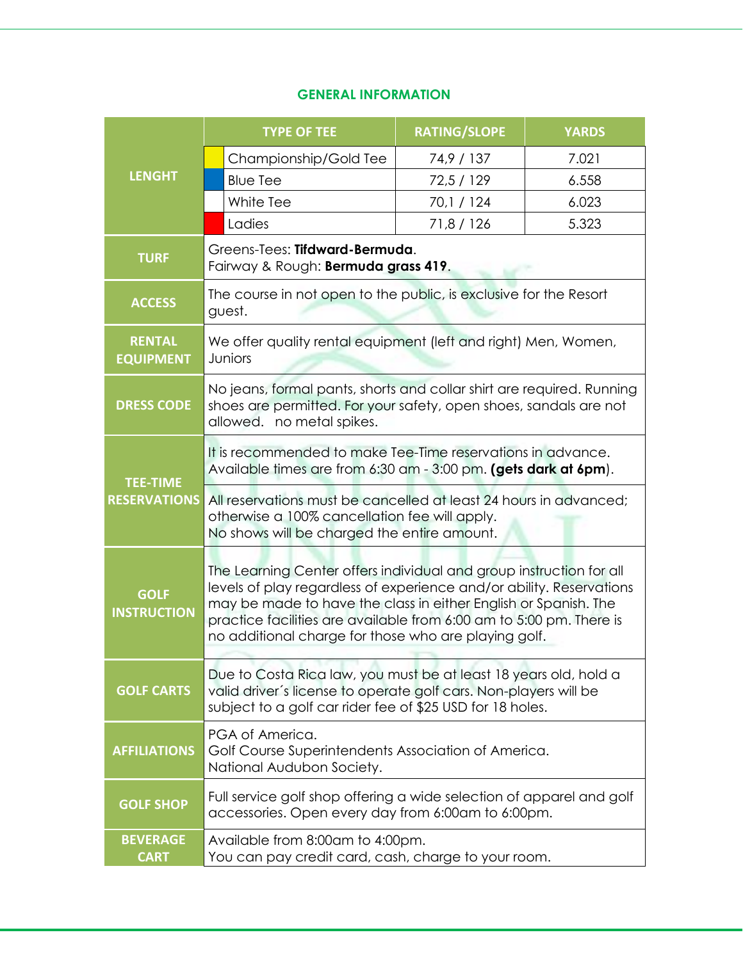## **GENERAL INFORMATION**

|                                   |                                                                                                                                                                   | <b>TYPE OF TEE</b>                                                                                                                                                                                                                                                                                                                            | <b>RATING/SLOPE</b> | <b>YARDS</b> |
|-----------------------------------|-------------------------------------------------------------------------------------------------------------------------------------------------------------------|-----------------------------------------------------------------------------------------------------------------------------------------------------------------------------------------------------------------------------------------------------------------------------------------------------------------------------------------------|---------------------|--------------|
|                                   |                                                                                                                                                                   | Championship/Gold Tee                                                                                                                                                                                                                                                                                                                         | 74,9 / 137          | 7.021        |
| <b>LENGHT</b>                     |                                                                                                                                                                   | <b>Blue Tee</b>                                                                                                                                                                                                                                                                                                                               | 72,5 / 129          | 6.558        |
|                                   |                                                                                                                                                                   | White Tee                                                                                                                                                                                                                                                                                                                                     | 70,1 / 124          | 6.023        |
|                                   |                                                                                                                                                                   | Ladies                                                                                                                                                                                                                                                                                                                                        | 71,8 / 126          | 5.323        |
| <b>TURF</b>                       |                                                                                                                                                                   | Greens-Tees: Tifdward-Bermuda.<br>Fairway & Rough: Bermuda grass 419.                                                                                                                                                                                                                                                                         |                     |              |
| <b>ACCESS</b>                     |                                                                                                                                                                   | The course in not open to the public, is exclusive for the Resort<br>guest.                                                                                                                                                                                                                                                                   |                     |              |
| <b>RENTAL</b><br><b>EQUIPMENT</b> |                                                                                                                                                                   | We offer quality rental equipment (left and right) Men, Women,<br>Juniors                                                                                                                                                                                                                                                                     |                     |              |
| <b>DRESS CODE</b>                 |                                                                                                                                                                   | No jeans, formal pants, shorts and collar shirt are required. Running<br>shoes are permitted. For your safety, open shoes, sandals are not<br>allowed. no metal spikes.                                                                                                                                                                       |                     |              |
| <b>TEE-TIME</b>                   |                                                                                                                                                                   | It is recommended to make Tee-Time reservations in advance.<br>Available times are from 6:30 am - 3:00 pm. (gets dark at 6pm).                                                                                                                                                                                                                |                     |              |
| <b>RESERVATIONS</b>               | All reservations must be cancelled at least 24 hours in advanced;<br>otherwise a 100% cancellation fee will apply.<br>No shows will be charged the entire amount. |                                                                                                                                                                                                                                                                                                                                               |                     |              |
| <b>GOLF</b><br><b>INSTRUCTION</b> |                                                                                                                                                                   | The Learning Center offers individual and group instruction for all<br>levels of play regardless of experience and/or ability. Reservations<br>may be made to have the class in either English or Spanish. The<br>practice facilities are available from 6:00 am to 5:00 pm. There is<br>no additional charge for those who are playing golf. |                     |              |
| <b>GOLF CARTS</b>                 |                                                                                                                                                                   | Due to Costa Rica law, you must be at least 18 years old, hold a<br>valid driver's license to operate golf cars. Non-players will be<br>subject to a golf car rider fee of \$25 USD for 18 holes.                                                                                                                                             |                     |              |
| <b>AFFILIATIONS</b>               |                                                                                                                                                                   | PGA of America.<br>Golf Course Superintendents Association of America.<br>National Audubon Society.                                                                                                                                                                                                                                           |                     |              |
| <b>GOLF SHOP</b>                  |                                                                                                                                                                   | Full service golf shop offering a wide selection of apparel and golf<br>accessories. Open every day from 6:00am to 6:00pm.                                                                                                                                                                                                                    |                     |              |
| <b>BEVERAGE</b><br><b>CART</b>    | Available from 8:00am to 4:00pm.<br>You can pay credit card, cash, charge to your room.                                                                           |                                                                                                                                                                                                                                                                                                                                               |                     |              |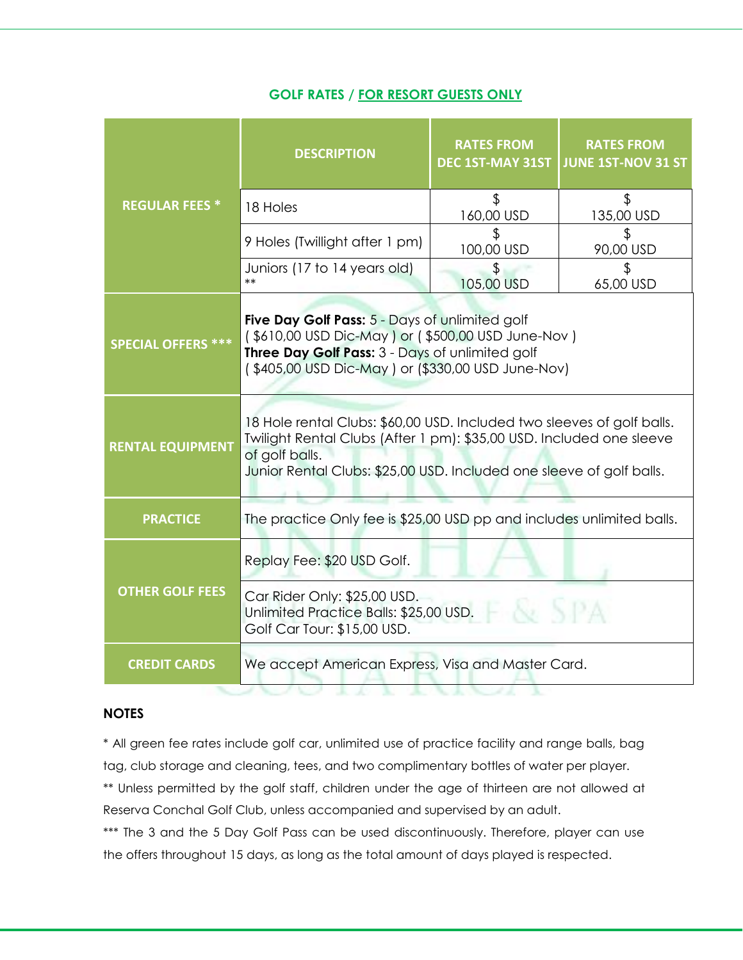## **GOLF RATES / FOR RESORT GUESTS ONLY**

|                           | <b>DESCRIPTION</b>                                                                                                                                                                                                                       | <b>RATES FROM</b><br>DEC 1ST-MAY 31ST | <b>RATES FROM</b><br><b>JUNE 1ST-NOV 31 ST</b> |
|---------------------------|------------------------------------------------------------------------------------------------------------------------------------------------------------------------------------------------------------------------------------------|---------------------------------------|------------------------------------------------|
| <b>REGULAR FEES *</b>     | 18 Holes                                                                                                                                                                                                                                 | \$<br>160,00 USD                      | $\boldsymbol{\theta}$<br>135,00 USD            |
|                           | 9 Holes (Twillight after 1 pm)                                                                                                                                                                                                           | 100,00 USD                            | \$<br>90,00 USD                                |
|                           | Juniors (17 to 14 years old)<br>$***$                                                                                                                                                                                                    | \$<br>105,00 USD                      | \$<br>65,00 USD                                |
| <b>SPECIAL OFFERS ***</b> | Five Day Golf Pass: 5 - Days of unlimited golf<br>(\$610,00 USD Dic-May) or (\$500,00 USD June-Nov)<br>Three Day Golf Pass: 3 - Days of unlimited golf<br>(\$405,00 USD Dic-May) or (\$330,00 USD June-Nov)                              |                                       |                                                |
| <b>RENTAL EQUIPMENT</b>   | 18 Hole rental Clubs: \$60,00 USD. Included two sleeves of golf balls.<br>Twilight Rental Clubs (After 1 pm): \$35,00 USD. Included one sleeve<br>of golf balls.<br>Junior Rental Clubs: \$25,00 USD. Included one sleeve of golf balls. |                                       |                                                |
| <b>PRACTICE</b>           | The practice Only fee is \$25,00 USD pp and includes unlimited balls.                                                                                                                                                                    |                                       |                                                |
| <b>OTHER GOLF FEES</b>    | Replay Fee: \$20 USD Golf.                                                                                                                                                                                                               |                                       |                                                |
|                           | Car Rider Only: \$25,00 USD.<br>V. SPA<br>Unlimited Practice Balls: \$25,00 USD.<br>Golf Car Tour: \$15,00 USD.                                                                                                                          |                                       |                                                |
| <b>CREDIT CARDS</b>       | We accept American Express, Visa and Master Card.                                                                                                                                                                                        |                                       |                                                |

#### **NOTES**

\* All green fee rates include golf car, unlimited use of practice facility and range balls, bag tag, club storage and cleaning, tees, and two complimentary bottles of water per player.

\*\* Unless permitted by the golf staff, children under the age of thirteen are not allowed at Reserva Conchal Golf Club, unless accompanied and supervised by an adult.

\*\*\* The 3 and the 5 Day Golf Pass can be used discontinuously. Therefore, player can use the offers throughout 15 days, as long as the total amount of days played is respected.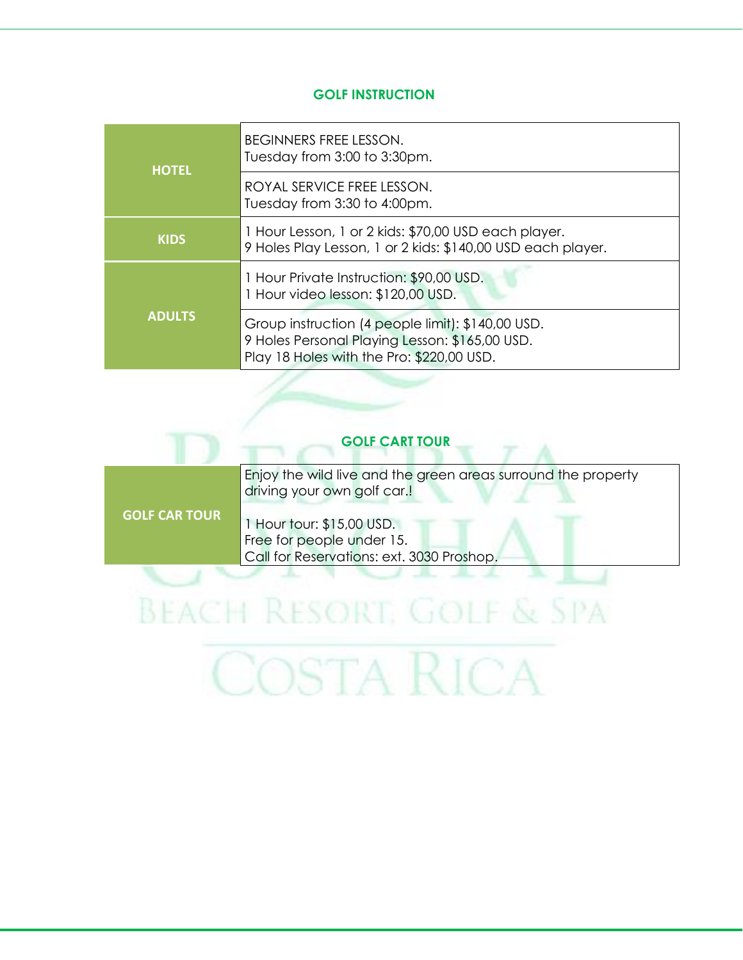#### **GOLF INSTRUCTION**

| <b>HOTEL</b>  | <b>BEGINNERS FREE LESSON.</b><br>Tuesday from 3:00 to 3:30pm.                                                                                    |  |
|---------------|--------------------------------------------------------------------------------------------------------------------------------------------------|--|
|               | ROYAL SERVICE FREE LESSON.<br>Tuesday from 3:30 to 4:00pm.                                                                                       |  |
| <b>KIDS</b>   | 1 Hour Lesson, 1 or 2 kids: \$70,00 USD each player.<br>9 Holes Play Lesson, 1 or 2 kids: \$140,00 USD each player.                              |  |
| <b>ADULTS</b> | 1 Hour Private Instruction: \$90,00 USD.<br>1 Hour video lesson: \$120,00 USD.                                                                   |  |
|               | Group instruction (4 people limit): \$140,00 USD.<br>9 Holes Personal Playing Lesson: \$165,00 USD.<br>Play 18 Holes with the Pro: \$220,00 USD. |  |

## **GOLF CART TOUR**

T A

| <b>GOLF CAR TOUR</b><br>1 Hour tour: \$15,00 USD.<br>Free for people under 15. | Enjoy the wild live and the green areas surround the property<br>driving your own golf car.! |
|--------------------------------------------------------------------------------|----------------------------------------------------------------------------------------------|
|                                                                                | Call for Reservations: ext. 3030 Proshop.                                                    |

# **BEACH RESORT, GOLF & SPA** COSTA RICA